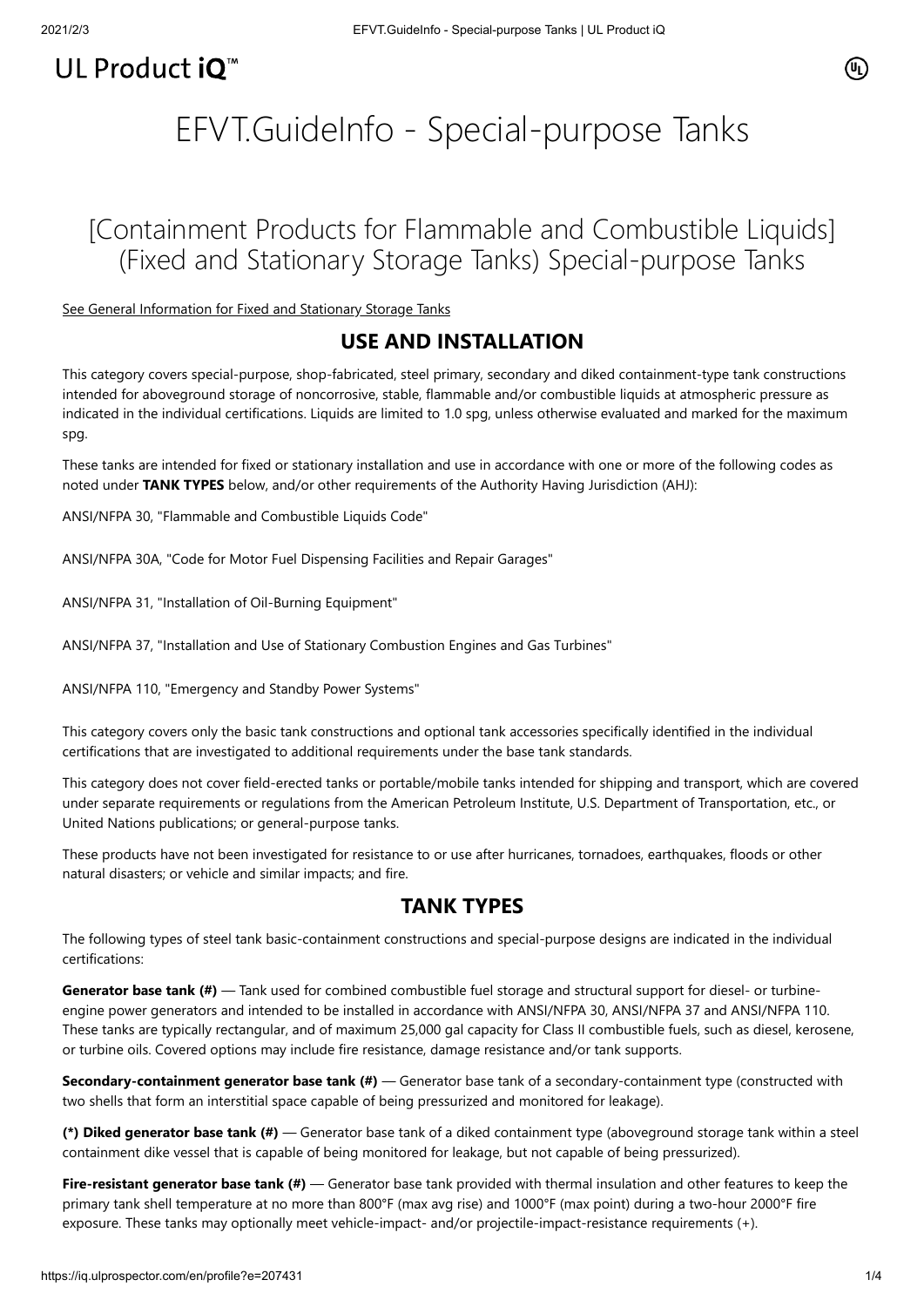# UL Product iQ<sup>™</sup>

# EFVT.GuideInfo - Special-purpose Tanks

## [Containment Products for Flammable and Combustible Liquids] (Fixed and Stationary Storage Tanks) Special-purpose Tanks

#### [See General Information for Fixed and Stationary Storage Tanks](https://iq.ulprospector.com/cgi-bin/XYV/template/LISEXT/1FRAME/showpage.html?&name=EDQX.GuideInfo&ccnshorttitle=Fixed+and+Stationary+Storage+Tanks&objid=1074230982&cfgid=1073741824&version=versionless&parent_id=1073986084&sequence=1)

#### **USE AND INSTALLATION**

This category covers special-purpose, shop-fabricated, steel primary, secondary and diked containment-type tank constructions intended for aboveground storage of noncorrosive, stable, flammable and/or combustible liquids at atmospheric pressure as indicated in the individual certifications. Liquids are limited to 1.0 spg, unless otherwise evaluated and marked for the maximum spg.

These tanks are intended for fixed or stationary installation and use in accordance with one or more of the following codes as noted under **TANK TYPES** below, and/or other requirements of the Authority Having Jurisdiction (AHJ):

ANSI/NFPA 30, "Flammable and Combustible Liquids Code"

ANSI/NFPA 30A, "Code for Motor Fuel Dispensing Facilities and Repair Garages"

ANSI/NFPA 31, "Installation of Oil-Burning Equipment"

ANSI/NFPA 37, "Installation and Use of Stationary Combustion Engines and Gas Turbines"

ANSI/NFPA 110, "Emergency and Standby Power Systems"

This category covers only the basic tank constructions and optional tank accessories specifically identified in the individual certifications that are investigated to additional requirements under the base tank standards.

This category does not cover field-erected tanks or portable/mobile tanks intended for shipping and transport, which are covered under separate requirements or regulations from the American Petroleum Institute, U.S. Department of Transportation, etc., or United Nations publications; or general-purpose tanks.

These products have not been investigated for resistance to or use after hurricanes, tornadoes, earthquakes, floods or other natural disasters; or vehicle and similar impacts; and fire.

#### **TANK TYPES**

The following types of steel tank basic-containment constructions and special-purpose designs are indicated in the individual certifications:

**Generator base tank (#)** — Tank used for combined combustible fuel storage and structural support for diesel- or turbineengine power generators and intended to be installed in accordance with ANSI/NFPA 30, ANSI/NFPA 37 and ANSI/NFPA 110. These tanks are typically rectangular, and of maximum 25,000 gal capacity for Class II combustible fuels, such as diesel, kerosene, or turbine oils. Covered options may include fire resistance, damage resistance and/or tank supports.

**Secondary-containment generator base tank (#)** — Generator base tank of a secondary-containment type (constructed with two shells that form an interstitial space capable of being pressurized and monitored for leakage).

**(\*) Diked generator base tank (#)** — Generator base tank of a diked containment type (aboveground storage tank within a steel containment dike vessel that is capable of being monitored for leakage, but not capable of being pressurized).

**Fire-resistant generator base tank (#)** — Generator base tank provided with thermal insulation and other features to keep the primary tank shell temperature at no more than 800°F (max avg rise) and 1000°F (max point) during a two-hour 2000°F fire exposure. These tanks may optionally meet vehicle-impact- and/or projectile-impact-resistance requirements (+).

⋒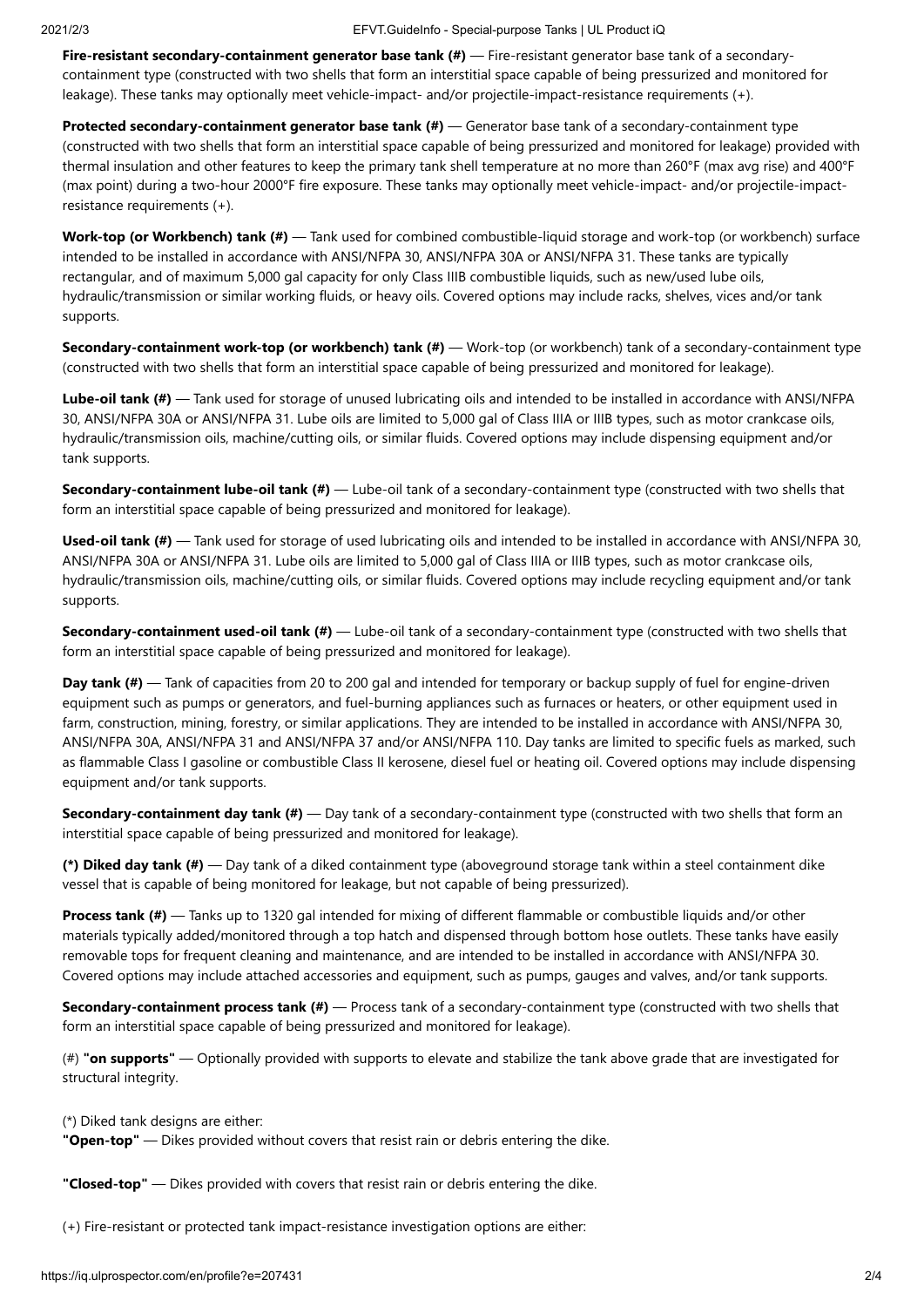**Fire-resistant secondary-containment generator base tank (#)** — Fire-resistant generator base tank of a secondarycontainment type (constructed with two shells that form an interstitial space capable of being pressurized and monitored for leakage). These tanks may optionally meet vehicle-impact- and/or projectile-impact-resistance requirements (+).

**Protected secondary-containment generator base tank (#)** — Generator base tank of a secondary-containment type (constructed with two shells that form an interstitial space capable of being pressurized and monitored for leakage) provided with thermal insulation and other features to keep the primary tank shell temperature at no more than 260°F (max avg rise) and 400°F (max point) during a two-hour 2000°F fire exposure. These tanks may optionally meet vehicle-impact- and/or projectile-impactresistance requirements (+).

**Work-top (or Workbench) tank (#)** — Tank used for combined combustible-liquid storage and work-top (or workbench) surface intended to be installed in accordance with ANSI/NFPA 30, ANSI/NFPA 30A or ANSI/NFPA 31. These tanks are typically rectangular, and of maximum 5,000 gal capacity for only Class IIIB combustible liquids, such as new/used lube oils, hydraulic/transmission or similar working fluids, or heavy oils. Covered options may include racks, shelves, vices and/or tank supports.

**Secondary-containment work-top (or workbench) tank (#)** — Work-top (or workbench) tank of a secondary-containment type (constructed with two shells that form an interstitial space capable of being pressurized and monitored for leakage).

**Lube-oil tank (#)** — Tank used for storage of unused lubricating oils and intended to be installed in accordance with ANSI/NFPA 30, ANSI/NFPA 30A or ANSI/NFPA 31. Lube oils are limited to 5,000 gal of Class IIIA or IIIB types, such as motor crankcase oils, hydraulic/transmission oils, machine/cutting oils, or similar fluids. Covered options may include dispensing equipment and/or tank supports.

**Secondary-containment lube-oil tank (#)** — Lube-oil tank of a secondary-containment type (constructed with two shells that form an interstitial space capable of being pressurized and monitored for leakage).

**Used-oil tank (#)** — Tank used for storage of used lubricating oils and intended to be installed in accordance with ANSI/NFPA 30, ANSI/NFPA 30A or ANSI/NFPA 31. Lube oils are limited to 5,000 gal of Class IIIA or IIIB types, such as motor crankcase oils, hydraulic/transmission oils, machine/cutting oils, or similar fluids. Covered options may include recycling equipment and/or tank supports.

**Secondary-containment used-oil tank (#)** — Lube-oil tank of a secondary-containment type (constructed with two shells that form an interstitial space capable of being pressurized and monitored for leakage).

**Day tank (#)** — Tank of capacities from 20 to 200 gal and intended for temporary or backup supply of fuel for engine-driven equipment such as pumps or generators, and fuel-burning appliances such as furnaces or heaters, or other equipment used in farm, construction, mining, forestry, or similar applications. They are intended to be installed in accordance with ANSI/NFPA 30, ANSI/NFPA 30A, ANSI/NFPA 31 and ANSI/NFPA 37 and/or ANSI/NFPA 110. Day tanks are limited to specific fuels as marked, such as flammable Class I gasoline or combustible Class II kerosene, diesel fuel or heating oil. Covered options may include dispensing equipment and/or tank supports.

**Secondary-containment day tank (#)** — Day tank of a secondary-containment type (constructed with two shells that form an interstitial space capable of being pressurized and monitored for leakage).

**(\*) Diked day tank (#)** — Day tank of a diked containment type (aboveground storage tank within a steel containment dike vessel that is capable of being monitored for leakage, but not capable of being pressurized).

**Process tank (#)** — Tanks up to 1320 gal intended for mixing of different flammable or combustible liquids and/or other materials typically added/monitored through a top hatch and dispensed through bottom hose outlets. These tanks have easily removable tops for frequent cleaning and maintenance, and are intended to be installed in accordance with ANSI/NFPA 30. Covered options may include attached accessories and equipment, such as pumps, gauges and valves, and/or tank supports.

**Secondary-containment process tank (#)** — Process tank of a secondary-containment type (constructed with two shells that form an interstitial space capable of being pressurized and monitored for leakage).

(#) **"on supports"** — Optionally provided with supports to elevate and stabilize the tank above grade that are investigated for structural integrity.

(\*) Diked tank designs are either:

**"Open-top"** — Dikes provided without covers that resist rain or debris entering the dike.

**"Closed-top"** — Dikes provided with covers that resist rain or debris entering the dike.

(+) Fire-resistant or protected tank impact-resistance investigation options are either: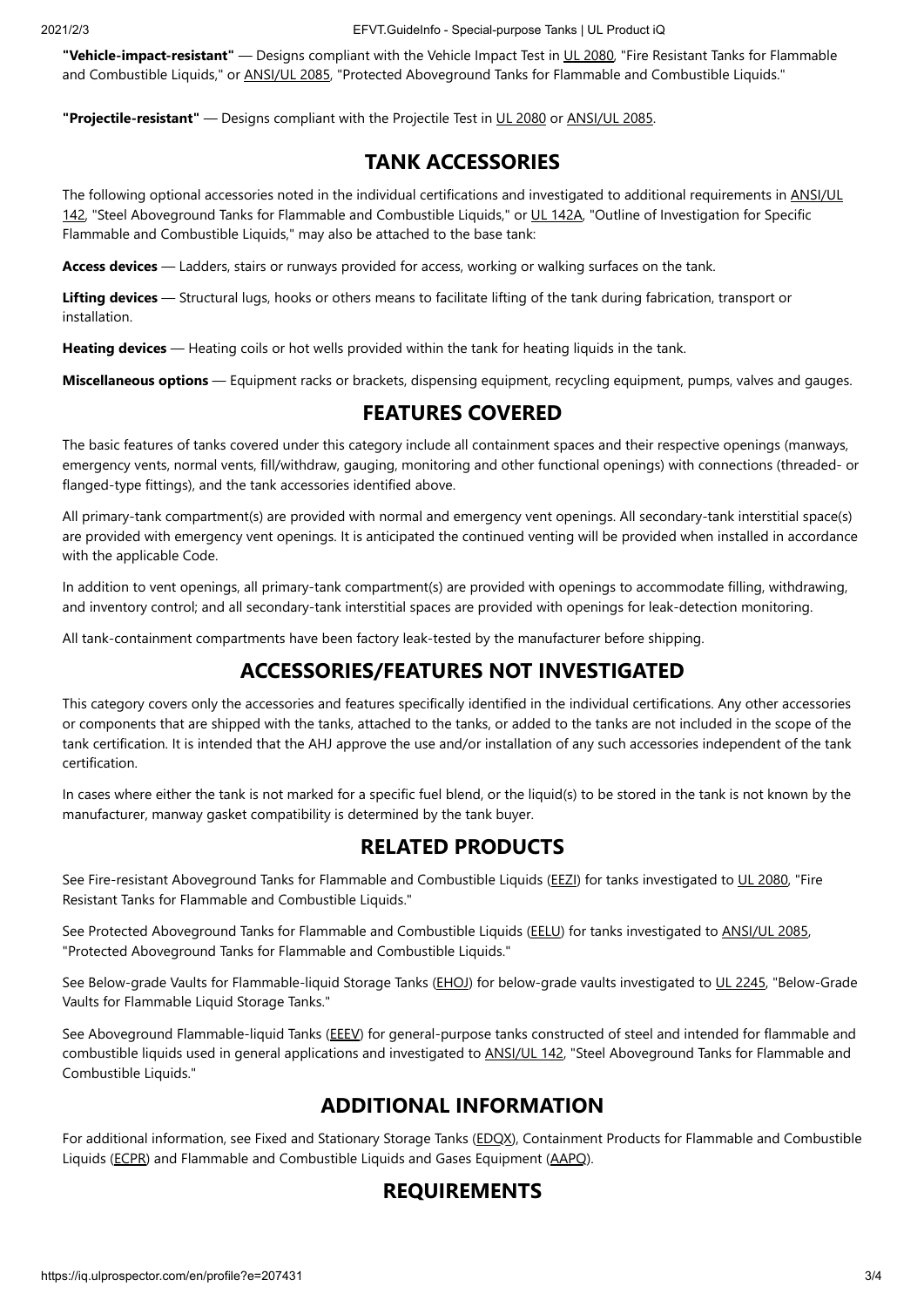**"Vehicle-impact-resistant"** — Designs compliant with the Vehicle Impact Test in [UL 2080,](https://www.shopulstandards.com/ProductDetail.aspx?productId=UL2080) "Fire Resistant Tanks for Flammable and Combustible Liquids," or **ANSI/UL 2085**, "Protected Aboveground Tanks for Flammable and Combustible Liquids."

**"Projectile-resistant"** — Designs compliant with the Projectile Test in [UL 2080](https://www.shopulstandards.com/ProductDetail.aspx?productId=UL2080) or [ANSI/UL 2085.](https://www.shopulstandards.com/ProductDetail.aspx?productId=UL2085)

#### **TANK ACCESSORIES**

[The following optional accessories noted in the individual certifications and investigated to additional requirements in ANSI/UL](https://www.shopulstandards.com/ProductDetail.aspx?productId=UL142) 142, "Steel Aboveground Tanks for Flammable and Combustible Liquids," or [UL 142A,](https://www.shopulstandards.com/ProductDetail.aspx?productId=UL142A) "Outline of Investigation for Specific Flammable and Combustible Liquids," may also be attached to the base tank:

**Access devices** — Ladders, stairs or runways provided for access, working or walking surfaces on the tank.

**Lifting devices** — Structural lugs, hooks or others means to facilitate lifting of the tank during fabrication, transport or installation.

**Heating devices** — Heating coils or hot wells provided within the tank for heating liquids in the tank.

**Miscellaneous options** — Equipment racks or brackets, dispensing equipment, recycling equipment, pumps, valves and gauges.

#### **FEATURES COVERED**

The basic features of tanks covered under this category include all containment spaces and their respective openings (manways, emergency vents, normal vents, fill/withdraw, gauging, monitoring and other functional openings) with connections (threaded- or flanged-type fittings), and the tank accessories identified above.

All primary-tank compartment(s) are provided with normal and emergency vent openings. All secondary-tank interstitial space(s) are provided with emergency vent openings. It is anticipated the continued venting will be provided when installed in accordance with the applicable Code.

In addition to vent openings, all primary-tank compartment(s) are provided with openings to accommodate filling, withdrawing, and inventory control; and all secondary-tank interstitial spaces are provided with openings for leak-detection monitoring.

All tank-containment compartments have been factory leak-tested by the manufacturer before shipping.

## **ACCESSORIES/FEATURES NOT INVESTIGATED**

This category covers only the accessories and features specifically identified in the individual certifications. Any other accessories or components that are shipped with the tanks, attached to the tanks, or added to the tanks are not included in the scope of the tank certification. It is intended that the AHJ approve the use and/or installation of any such accessories independent of the tank certification.

In cases where either the tank is not marked for a specific fuel blend, or the liquid(s) to be stored in the tank is not known by the manufacturer, manway gasket compatibility is determined by the tank buyer.

## **RELATED PRODUCTS**

See Fire-resistant Aboveground Tanks for Flammable and Combustible Liquids ([EEZI\)](https://database.ul.com/cgi-bin/XYV/cgifind/LISEXT/1FRAME/srchres.html?collection=/data3/verity_collections/lisext&vdkhome=/data3/verity_sw_rev24/common&SORT_BY=textlines:asc,ccnshorttitle:asc&query=EEZI%3CIN%3ECCN+and+GuideInfo) for tanks investigated to [UL 2080,](https://www.shopulstandards.com/ProductDetail.aspx?productId=UL2080) "Fire Resistant Tanks for Flammable and Combustible Liquids."

See Protected Aboveground Tanks for Flammable and Combustible Liquids ([EELU](https://database.ul.com/cgi-bin/XYV/cgifind/LISEXT/1FRAME/srchres.html?collection=/data3/verity_collections/lisext&vdkhome=/data3/verity_sw_rev24/common&SORT_BY=textlines:asc,ccnshorttitle:asc&query=EELU%3CIN%3ECCN+and+GuideInfo)) for tanks investigated to [ANSI/UL 2085,](https://www.shopulstandards.com/ProductDetail.aspx?productId=UL2085) "Protected Aboveground Tanks for Flammable and Combustible Liquids."

See Below-grade Vaults for Flammable-liquid Storage Tanks [\(EHOJ](https://database.ul.com/cgi-bin/XYV/cgifind/LISEXT/1FRAME/srchres.html?collection=/data3/verity_collections/lisext&vdkhome=/data3/verity_sw_rev24/common&SORT_BY=textlines:asc,ccnshorttitle:asc&query=EHOJ%3CIN%3ECCN+and+GuideInfo)) for below-grade vaults investigated to [UL 2245](https://www.shopulstandards.com/ProductDetail.aspx?productId=UL2245), "Below-Grade Vaults for Flammable Liquid Storage Tanks."

See Aboveground Flammable-liquid Tanks ([EEEV\)](https://database.ul.com/cgi-bin/XYV/cgifind/LISEXT/1FRAME/srchres.html?collection=/data3/verity_collections/lisext&vdkhome=/data3/verity_sw_rev24/common&SORT_BY=textlines:asc,ccnshorttitle:asc&query=EEEV%3CIN%3ECCN+and+GuideInfo) for general-purpose tanks constructed of steel and intended for flammable and combustible liquids used in general applications and investigated to [ANSI/UL 142](https://www.shopulstandards.com/ProductDetail.aspx?productId=UL142), "Steel Aboveground Tanks for Flammable and Combustible Liquids."

## **ADDITIONAL INFORMATION**

For additional information, see Fixed and Stationary Storage Tanks [\(EDQX\)](https://database.ul.com/cgi-bin/XYV/cgifind/LISEXT/1FRAME/srchres.html?collection=/data3/verity_collections/lisext&vdkhome=/data3/verity_sw_rev24/common&SORT_BY=textlines:asc,ccnshorttitle:asc&query=EDQX%3CIN%3ECCN+and+GuideInfo), Containment Products for Flammable and Combustible Liquids [\(ECPR](https://database.ul.com/cgi-bin/XYV/cgifind/LISEXT/1FRAME/srchres.html?collection=/data3/verity_collections/lisext&vdkhome=/data3/verity_sw_rev24/common&SORT_BY=textlines:asc,ccnshorttitle:asc&query=ECPR%3CIN%3ECCN+and+GuideInfo)) and Flammable and Combustible Liquids and Gases Equipment ([AAPQ](https://database.ul.com/cgi-bin/XYV/cgifind/LISEXT/1FRAME/srchres.html?collection=/data3/verity_collections/lisext&vdkhome=/data3/verity_sw_rev24/common&SORT_BY=textlines:asc,ccnshorttitle:asc&query=AAPQ%3CIN%3ECCN+and+GuideInfo)).

#### **REQUIREMENTS**